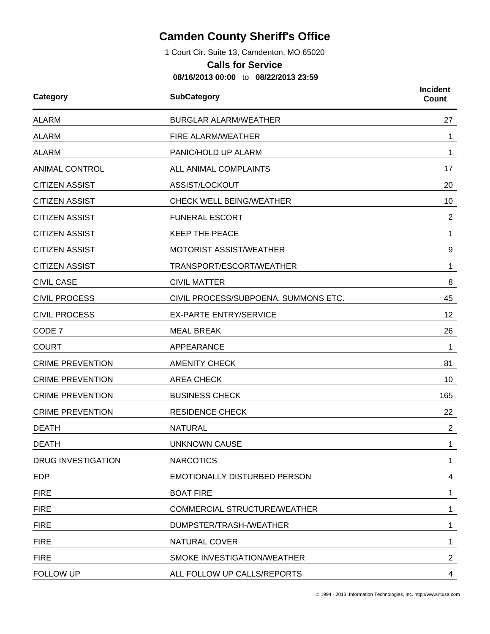## **Camden County Sheriff's Office**

1 Court Cir. Suite 13, Camdenton, MO 65020

## **Calls for Service**

**08/16/2013 00:00** to **08/22/2013 23:59**

| <b>SubCategory</b><br>Category |                                      | <b>Incident</b><br>Count |  |
|--------------------------------|--------------------------------------|--------------------------|--|
| <b>ALARM</b>                   | <b>BURGLAR ALARM/WEATHER</b>         |                          |  |
| <b>ALARM</b>                   | FIRE ALARM/WEATHER                   | 1                        |  |
| <b>ALARM</b>                   | PANIC/HOLD UP ALARM                  | 1                        |  |
| <b>ANIMAL CONTROL</b>          | ALL ANIMAL COMPLAINTS                | 17                       |  |
| <b>CITIZEN ASSIST</b>          | ASSIST/LOCKOUT                       | 20                       |  |
| <b>CITIZEN ASSIST</b>          | <b>CHECK WELL BEING/WEATHER</b>      | 10                       |  |
| <b>CITIZEN ASSIST</b>          | <b>FUNERAL ESCORT</b>                | $\overline{2}$           |  |
| <b>CITIZEN ASSIST</b>          | <b>KEEP THE PEACE</b>                | 1                        |  |
| <b>CITIZEN ASSIST</b>          | MOTORIST ASSIST/WEATHER              | 9                        |  |
| <b>CITIZEN ASSIST</b>          | TRANSPORT/ESCORT/WEATHER             | 1                        |  |
| <b>CIVIL CASE</b>              | <b>CIVIL MATTER</b>                  | 8                        |  |
| <b>CIVIL PROCESS</b>           | CIVIL PROCESS/SUBPOENA, SUMMONS ETC. | 45                       |  |
| <b>CIVIL PROCESS</b>           | <b>EX-PARTE ENTRY/SERVICE</b>        | 12                       |  |
| CODE 7                         | <b>MEAL BREAK</b>                    | 26                       |  |
| <b>COURT</b>                   | APPEARANCE                           | 1                        |  |
| <b>CRIME PREVENTION</b>        | <b>AMENITY CHECK</b>                 | 81                       |  |
| <b>CRIME PREVENTION</b>        | <b>AREA CHECK</b>                    | 10                       |  |
| <b>CRIME PREVENTION</b>        | <b>BUSINESS CHECK</b>                | 165                      |  |
| <b>CRIME PREVENTION</b>        | <b>RESIDENCE CHECK</b>               | 22                       |  |
| <b>DEATH</b>                   | <b>NATURAL</b>                       | $\overline{2}$           |  |
| <b>DEATH</b>                   | <b>UNKNOWN CAUSE</b>                 | 1                        |  |
| <b>DRUG INVESTIGATION</b>      | <b>NARCOTICS</b>                     | 1                        |  |
| <b>EDP</b>                     | <b>EMOTIONALLY DISTURBED PERSON</b>  | 4                        |  |
| <b>FIRE</b>                    | <b>BOAT FIRE</b>                     | 1                        |  |
| <b>FIRE</b>                    | COMMERCIAL STRUCTURE/WEATHER         | 1                        |  |
| <b>FIRE</b>                    | DUMPSTER/TRASH-/WEATHER              | 1                        |  |
| <b>FIRE</b>                    | <b>NATURAL COVER</b>                 | 1                        |  |
| <b>FIRE</b>                    | SMOKE INVESTIGATION/WEATHER          | $\overline{2}$           |  |
| FOLLOW UP                      | ALL FOLLOW UP CALLS/REPORTS          | 4                        |  |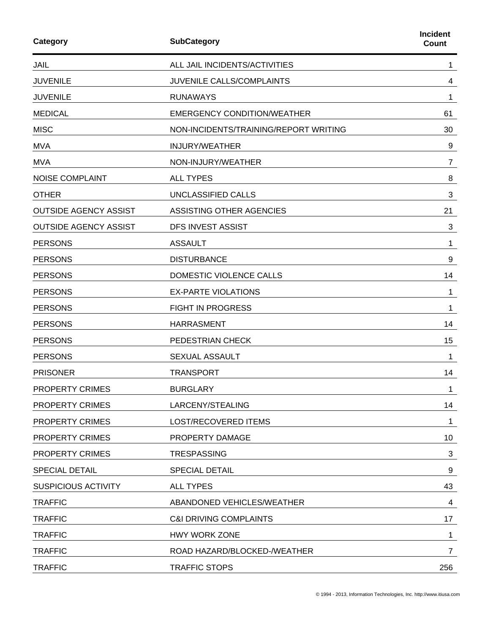| Category<br><b>SubCategory</b> |                                       | <b>Incident</b><br><b>Count</b> |  |
|--------------------------------|---------------------------------------|---------------------------------|--|
| <b>JAIL</b>                    | ALL JAIL INCIDENTS/ACTIVITIES         | 1                               |  |
| <b>JUVENILE</b>                | JUVENILE CALLS/COMPLAINTS             | 4                               |  |
| <b>JUVENILE</b>                | <b>RUNAWAYS</b>                       | 1                               |  |
| <b>MEDICAL</b>                 | <b>EMERGENCY CONDITION/WEATHER</b>    | 61                              |  |
| <b>MISC</b>                    | NON-INCIDENTS/TRAINING/REPORT WRITING | 30                              |  |
| <b>MVA</b>                     | INJURY/WEATHER                        | 9                               |  |
| <b>MVA</b>                     | NON-INJURY/WEATHER                    | 7                               |  |
| <b>NOISE COMPLAINT</b>         | <b>ALL TYPES</b>                      | 8                               |  |
| <b>OTHER</b>                   | UNCLASSIFIED CALLS                    | 3                               |  |
| <b>OUTSIDE AGENCY ASSIST</b>   | ASSISTING OTHER AGENCIES              | 21                              |  |
| <b>OUTSIDE AGENCY ASSIST</b>   | DFS INVEST ASSIST                     | 3                               |  |
| <b>PERSONS</b>                 | <b>ASSAULT</b>                        | 1                               |  |
| <b>PERSONS</b>                 | <b>DISTURBANCE</b>                    | 9                               |  |
| <b>PERSONS</b>                 | DOMESTIC VIOLENCE CALLS               | 14                              |  |
| <b>PERSONS</b>                 | <b>EX-PARTE VIOLATIONS</b>            | 1                               |  |
| <b>PERSONS</b>                 | <b>FIGHT IN PROGRESS</b>              | 1                               |  |
| <b>PERSONS</b>                 | <b>HARRASMENT</b>                     | 14                              |  |
| <b>PERSONS</b>                 | PEDESTRIAN CHECK                      | 15                              |  |
| <b>PERSONS</b>                 | <b>SEXUAL ASSAULT</b>                 | 1                               |  |
| <b>PRISONER</b>                | <b>TRANSPORT</b>                      | 14                              |  |
| <b>PROPERTY CRIMES</b>         | <b>BURGLARY</b>                       | 1                               |  |
| PROPERTY CRIMES                | LARCENY/STEALING                      | 14                              |  |
| PROPERTY CRIMES                | LOST/RECOVERED ITEMS                  | 1                               |  |
| <b>PROPERTY CRIMES</b>         | PROPERTY DAMAGE                       | 10                              |  |
| <b>PROPERTY CRIMES</b>         | <b>TRESPASSING</b>                    | 3                               |  |
| <b>SPECIAL DETAIL</b>          | <b>SPECIAL DETAIL</b>                 | 9                               |  |
| <b>SUSPICIOUS ACTIVITY</b>     | <b>ALL TYPES</b>                      | 43                              |  |
| <b>TRAFFIC</b>                 | ABANDONED VEHICLES/WEATHER            | 4                               |  |
| <b>TRAFFIC</b>                 | <b>C&amp;I DRIVING COMPLAINTS</b>     | 17                              |  |
| <b>TRAFFIC</b>                 | HWY WORK ZONE                         | 1                               |  |
| <b>TRAFFIC</b>                 | ROAD HAZARD/BLOCKED-/WEATHER          | 7                               |  |
| <b>TRAFFIC</b>                 | <b>TRAFFIC STOPS</b>                  | 256                             |  |
|                                |                                       |                                 |  |